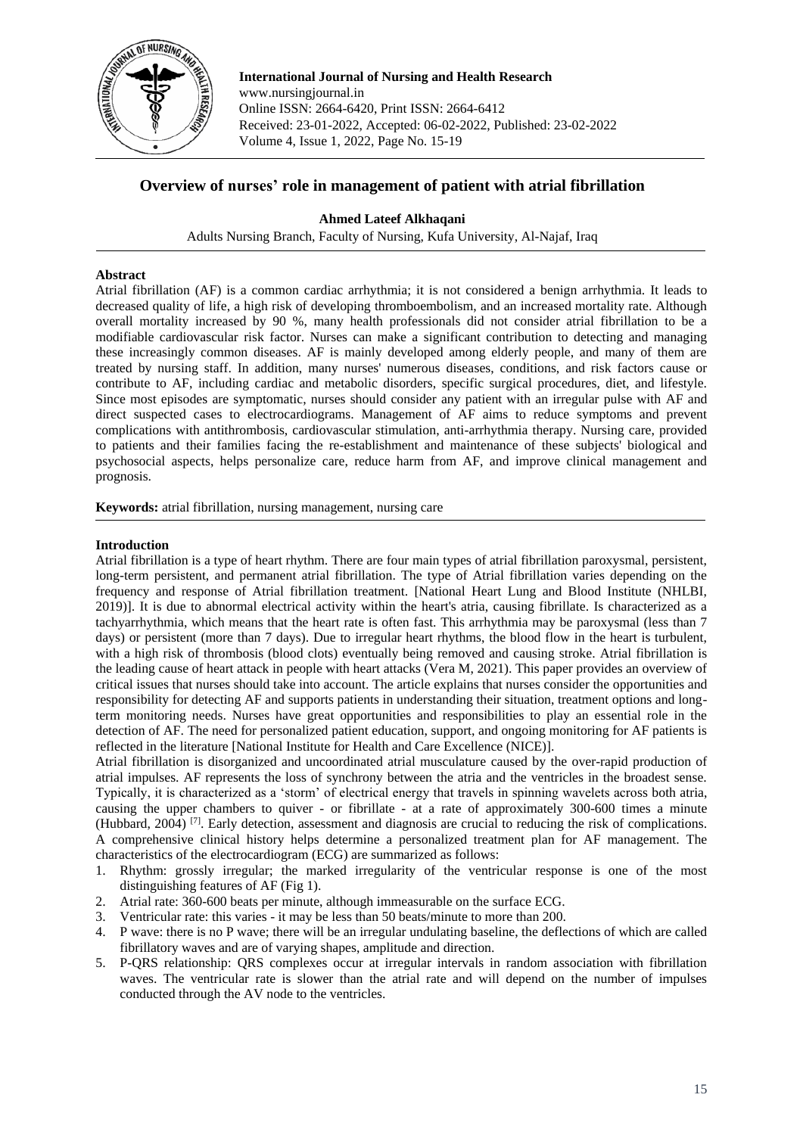

**International Journal of Nursing and Health Research** www.nursingjournal.in Online ISSN: 2664-6420, Print ISSN: 2664-6412 Received: 23-01-2022, Accepted: 06-02-2022, Published: 23-02-2022 Volume 4, Issue 1, 2022, Page No. 15-19

# **Overview of nurses' role in management of patient with atrial fibrillation**

# **Ahmed Lateef Alkhaqani**

Adults Nursing Branch, Faculty of Nursing, Kufa University, Al-Najaf, Iraq

### **Abstract**

Atrial fibrillation (AF) is a common cardiac arrhythmia; it is not considered a benign arrhythmia. It leads to decreased quality of life, a high risk of developing thromboembolism, and an increased mortality rate. Although overall mortality increased by 90 %, many health professionals did not consider atrial fibrillation to be a modifiable cardiovascular risk factor. Nurses can make a significant contribution to detecting and managing these increasingly common diseases. AF is mainly developed among elderly people, and many of them are treated by nursing staff. In addition, many nurses' numerous diseases, conditions, and risk factors cause or contribute to AF, including cardiac and metabolic disorders, specific surgical procedures, diet, and lifestyle. Since most episodes are symptomatic, nurses should consider any patient with an irregular pulse with AF and direct suspected cases to electrocardiograms. Management of AF aims to reduce symptoms and prevent complications with antithrombosis, cardiovascular stimulation, anti-arrhythmia therapy. Nursing care, provided to patients and their families facing the re-establishment and maintenance of these subjects' biological and psychosocial aspects, helps personalize care, reduce harm from AF, and improve clinical management and prognosis.

**Keywords:** atrial fibrillation, nursing management, nursing care

### **Introduction**

Atrial fibrillation is a type of heart rhythm. There are four main types of atrial fibrillation paroxysmal, persistent, long-term persistent, and permanent atrial fibrillation. The type of Atrial fibrillation varies depending on the frequency and response of Atrial fibrillation treatment. [National Heart Lung and Blood Institute (NHLBI, 2019)]. It is due to abnormal electrical activity within the heart's atria, causing fibrillate. Is characterized as a tachyarrhythmia, which means that the heart rate is often fast. This arrhythmia may be paroxysmal (less than 7 days) or persistent (more than 7 days). Due to irregular heart rhythms, the blood flow in the heart is turbulent, with a high risk of thrombosis (blood clots) eventually being removed and causing stroke. Atrial fibrillation is the leading cause of heart attack in people with heart attacks (Vera M, 2021). This paper provides an overview of critical issues that nurses should take into account. The article explains that nurses consider the opportunities and responsibility for detecting AF and supports patients in understanding their situation, treatment options and longterm monitoring needs. Nurses have great opportunities and responsibilities to play an essential role in the detection of AF. The need for personalized patient education, support, and ongoing monitoring for AF patients is reflected in the literature [National Institute for Health and Care Excellence (NICE)].

Atrial fibrillation is disorganized and uncoordinated atrial musculature caused by the over-rapid production of atrial impulses. AF represents the loss of synchrony between the atria and the ventricles in the broadest sense. Typically, it is characterized as a 'storm' of electrical energy that travels in spinning wavelets across both atria, causing the upper chambers to quiver - or fibrillate - at a rate of approximately 300-600 times a minute (Hubbard, 2004) [7]. Early detection, assessment and diagnosis are crucial to reducing the risk of complications. A comprehensive clinical history helps determine a personalized treatment plan for AF management. The characteristics of the electrocardiogram (ECG) are summarized as follows:

- 1. Rhythm: grossly irregular; the marked irregularity of the ventricular response is one of the most distinguishing features of AF (Fig 1).
- 2. Atrial rate: 360-600 beats per minute, although immeasurable on the surface ECG.
- 3. Ventricular rate: this varies it may be less than 50 beats/minute to more than 200.
- 4. P wave: there is no P wave; there will be an irregular undulating baseline, the deflections of which are called fibrillatory waves and are of varying shapes, amplitude and direction.
- 5. P-QRS relationship: QRS complexes occur at irregular intervals in random association with fibrillation waves. The ventricular rate is slower than the atrial rate and will depend on the number of impulses conducted through the AV node to the ventricles.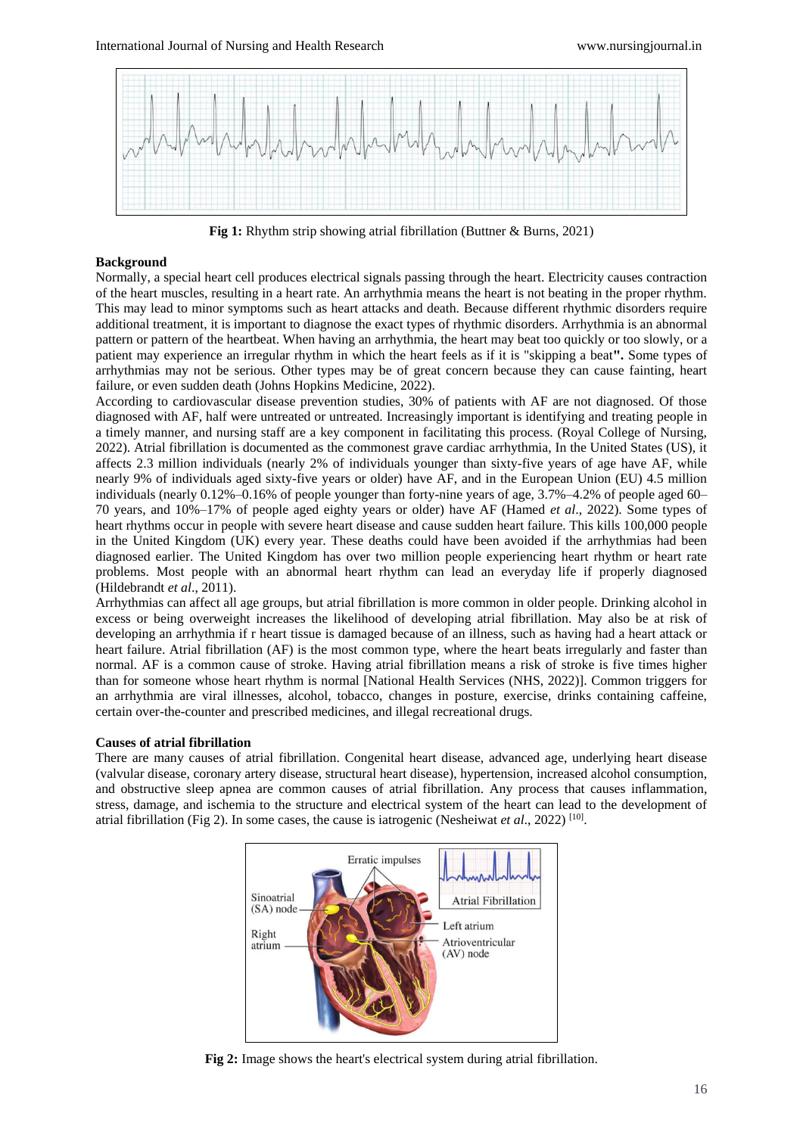

**Fig 1:** Rhythm strip showing atrial fibrillation (Buttner & Burns, 2021)

### **Background**

Normally, a special heart cell produces electrical signals passing through the heart. Electricity causes contraction of the heart muscles, resulting in a heart rate. An arrhythmia means the heart is not beating in the proper rhythm. This may lead to minor symptoms such as heart attacks and death. Because different rhythmic disorders require additional treatment, it is important to diagnose the exact types of rhythmic disorders. Arrhythmia is an abnormal pattern or pattern of the heartbeat. When having an arrhythmia, the heart may beat too quickly or too slowly, or a patient may experience an irregular rhythm in which the heart feels as if it is "skipping a beat**".** Some types of arrhythmias may not be serious. Other types may be of great concern because they can cause fainting, heart failure, or even sudden death (Johns Hopkins Medicine, 2022).

According to cardiovascular disease prevention studies, 30% of patients with AF are not diagnosed. Of those diagnosed with AF, half were untreated or untreated. Increasingly important is identifying and treating people in a timely manner, and nursing staff are a key component in facilitating this process. (Royal College of Nursing, 2022). Atrial fibrillation is documented as the commonest grave cardiac arrhythmia, In the United States (US), it affects 2.3 million individuals (nearly 2% of individuals younger than sixty-five years of age have AF, while nearly 9% of individuals aged sixty-five years or older) have AF, and in the European Union (EU) 4.5 million individuals (nearly 0.12%–0.16% of people younger than forty-nine years of age, 3.7%–4.2% of people aged 60– 70 years, and 10%–17% of people aged eighty years or older) have AF (Hamed *et al*., 2022). Some types of heart rhythms occur in people with severe heart disease and cause sudden heart failure. This kills 100,000 people in the United Kingdom (UK) every year. These deaths could have been avoided if the arrhythmias had been diagnosed earlier. The United Kingdom has over two million people experiencing heart rhythm or heart rate problems. Most people with an abnormal heart rhythm can lead an everyday life if properly diagnosed (Hildebrandt *et al*., 2011).

Arrhythmias can affect all age groups, but atrial fibrillation is more common in older people. Drinking alcohol in excess or being overweight increases the likelihood of developing atrial fibrillation. May also be at risk of developing an arrhythmia if r heart tissue is damaged because of an illness, such as having had a heart attack or heart failure. Atrial fibrillation (AF) is the most common type, where the heart beats irregularly and faster than normal. AF is a common cause of stroke. Having atrial fibrillation means a risk of stroke is five times higher than for someone whose heart rhythm is normal [National Health Services (NHS, 2022)]. Common triggers for an arrhythmia are viral illnesses, alcohol, tobacco, changes in posture, exercise, drinks containing caffeine, certain over-the-counter and prescribed medicines, and illegal recreational drugs.

#### **Causes of atrial fibrillation**

There are many causes of atrial fibrillation. Congenital heart disease, advanced age, underlying heart disease (valvular disease, coronary artery disease, structural heart disease), hypertension, increased alcohol consumption, and obstructive sleep apnea are common causes of atrial fibrillation. Any process that causes inflammation, stress, damage, and ischemia to the structure and electrical system of the heart can lead to the development of atrial fibrillation (Fig 2). In some cases, the cause is iatrogenic (Nesheiwat *et al.*, 2022)<sup>[10]</sup>.



**Fig 2:** Image shows the heart's electrical system during atrial fibrillation.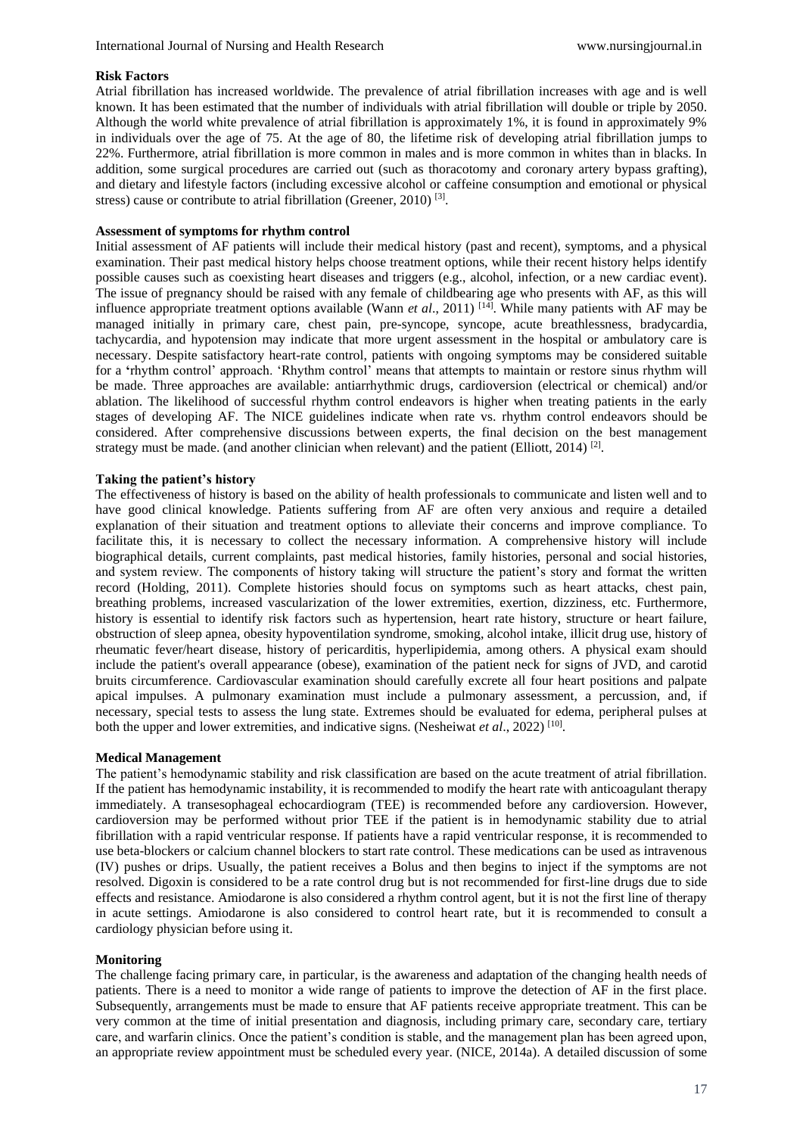### **Risk Factors**

Atrial fibrillation has increased worldwide. The prevalence of atrial fibrillation increases with age and is well known. It has been estimated that the number of individuals with atrial fibrillation will double or triple by 2050. Although the world white prevalence of atrial fibrillation is approximately 1%, it is found in approximately 9% in individuals over the age of 75. At the age of 80, the lifetime risk of developing atrial fibrillation jumps to 22%. Furthermore, atrial fibrillation is more common in males and is more common in whites than in blacks. In addition, some surgical procedures are carried out (such as thoracotomy and coronary artery bypass grafting), and dietary and lifestyle factors (including excessive alcohol or caffeine consumption and emotional or physical stress) cause or contribute to atrial fibrillation (Greener, 2010)<sup>[3]</sup>.

### **Assessment of symptoms for rhythm control**

Initial assessment of AF patients will include their medical history (past and recent), symptoms, and a physical examination. Their past medical history helps choose treatment options, while their recent history helps identify possible causes such as coexisting heart diseases and triggers (e.g., alcohol, infection, or a new cardiac event). The issue of pregnancy should be raised with any female of childbearing age who presents with AF, as this will influence appropriate treatment options available (Wann *et al*., 2011) [14]. While many patients with AF may be managed initially in primary care, chest pain, pre-syncope, syncope, acute breathlessness, bradycardia, tachycardia, and hypotension may indicate that more urgent assessment in the hospital or ambulatory care is necessary. Despite satisfactory heart-rate control, patients with ongoing symptoms may be considered suitable for a **'**rhythm control' approach. 'Rhythm control' means that attempts to maintain or restore sinus rhythm will be made. Three approaches are available: antiarrhythmic drugs, cardioversion (electrical or chemical) and/or ablation. The likelihood of successful rhythm control endeavors is higher when treating patients in the early stages of developing AF. The NICE guidelines indicate when rate vs. rhythm control endeavors should be considered. After comprehensive discussions between experts, the final decision on the best management strategy must be made. (and another clinician when relevant) and the patient (Elliott, 2014)<sup>[2]</sup>.

### **Taking the patient's history**

The effectiveness of history is based on the ability of health professionals to communicate and listen well and to have good clinical knowledge. Patients suffering from AF are often very anxious and require a detailed explanation of their situation and treatment options to alleviate their concerns and improve compliance. To facilitate this, it is necessary to collect the necessary information. A comprehensive history will include biographical details, current complaints, past medical histories, family histories, personal and social histories, and system review. The components of history taking will structure the patient's story and format the written record (Holding, 2011). Complete histories should focus on symptoms such as heart attacks, chest pain, breathing problems, increased vascularization of the lower extremities, exertion, dizziness, etc. Furthermore, history is essential to identify risk factors such as hypertension, heart rate history, structure or heart failure, obstruction of sleep apnea, obesity hypoventilation syndrome, smoking, alcohol intake, illicit drug use, history of rheumatic fever/heart disease, history of pericarditis, hyperlipidemia, among others. A physical exam should include the patient's overall appearance (obese), examination of the patient neck for signs of JVD, and carotid bruits circumference. Cardiovascular examination should carefully excrete all four heart positions and palpate apical impulses. A pulmonary examination must include a pulmonary assessment, a percussion, and, if necessary, special tests to assess the lung state. Extremes should be evaluated for edema, peripheral pulses at both the upper and lower extremities, and indicative signs. (Nesheiwat *et al.*, 2022)<sup>[10]</sup>.

### **Medical Management**

The patient's hemodynamic stability and risk classification are based on the acute treatment of atrial fibrillation. If the patient has hemodynamic instability, it is recommended to modify the heart rate with anticoagulant therapy immediately. A transesophageal echocardiogram (TEE) is recommended before any cardioversion. However, cardioversion may be performed without prior TEE if the patient is in hemodynamic stability due to atrial fibrillation with a rapid ventricular response. If patients have a rapid ventricular response, it is recommended to use beta-blockers or calcium channel blockers to start rate control. These medications can be used as intravenous (IV) pushes or drips. Usually, the patient receives a Bolus and then begins to inject if the symptoms are not resolved. Digoxin is considered to be a rate control drug but is not recommended for first-line drugs due to side effects and resistance. Amiodarone is also considered a rhythm control agent, but it is not the first line of therapy in acute settings. Amiodarone is also considered to control heart rate, but it is recommended to consult a cardiology physician before using it.

### **Monitoring**

The challenge facing primary care, in particular, is the awareness and adaptation of the changing health needs of patients. There is a need to monitor a wide range of patients to improve the detection of AF in the first place. Subsequently, arrangements must be made to ensure that AF patients receive appropriate treatment. This can be very common at the time of initial presentation and diagnosis, including primary care, secondary care, tertiary care, and warfarin clinics. Once the patient's condition is stable, and the management plan has been agreed upon, an appropriate review appointment must be scheduled every year. (NICE, 2014a). A detailed discussion of some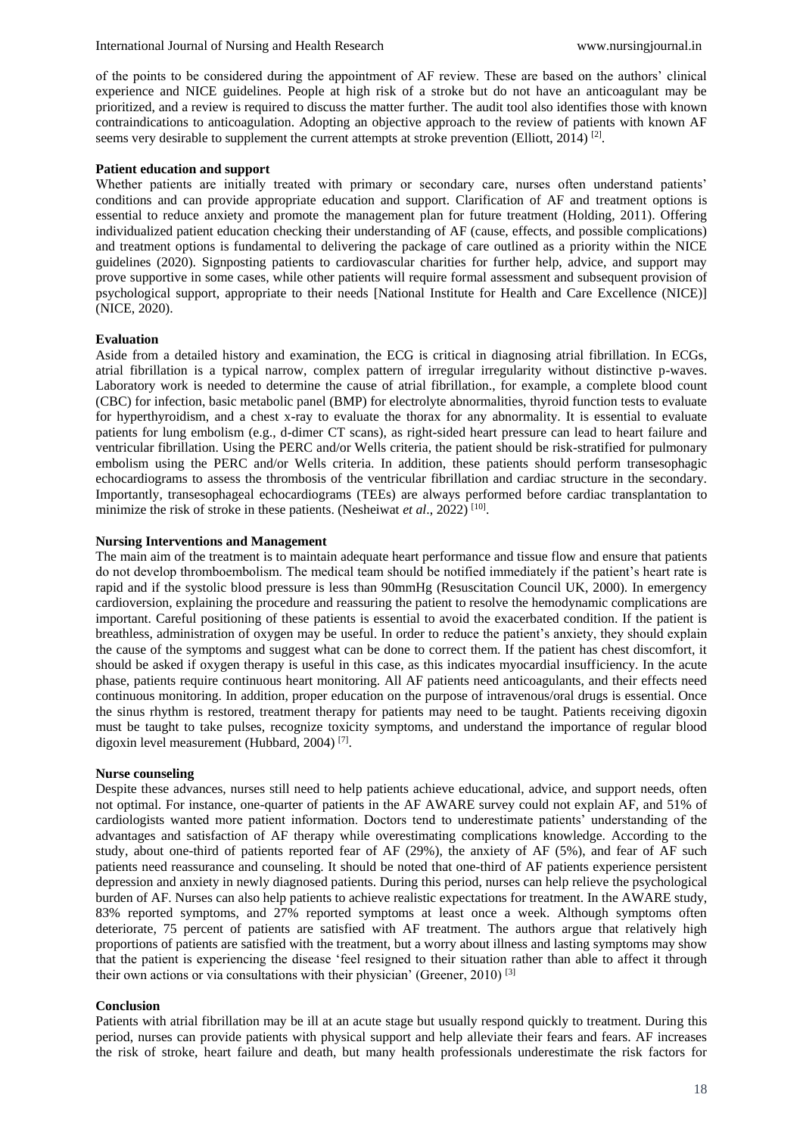of the points to be considered during the appointment of AF review. These are based on the authors' clinical experience and NICE guidelines. People at high risk of a stroke but do not have an anticoagulant may be prioritized, and a review is required to discuss the matter further. The audit tool also identifies those with known contraindications to anticoagulation. Adopting an objective approach to the review of patients with known AF seems very desirable to supplement the current attempts at stroke prevention (Elliott, 2014)<sup>[2]</sup>.

### **Patient education and support**

Whether patients are initially treated with primary or secondary care, nurses often understand patients' conditions and can provide appropriate education and support. Clarification of AF and treatment options is essential to reduce anxiety and promote the management plan for future treatment (Holding, 2011). Offering individualized patient education checking their understanding of AF (cause, effects, and possible complications) and treatment options is fundamental to delivering the package of care outlined as a priority within the NICE guidelines (2020). Signposting patients to cardiovascular charities for further help, advice, and support may prove supportive in some cases, while other patients will require formal assessment and subsequent provision of psychological support, appropriate to their needs [National Institute for Health and Care Excellence (NICE)] (NICE, 2020).

#### **Evaluation**

Aside from a detailed history and examination, the ECG is critical in diagnosing atrial fibrillation. In ECGs, atrial fibrillation is a typical narrow, complex pattern of irregular irregularity without distinctive p-waves. Laboratory work is needed to determine the cause of atrial fibrillation., for example, a complete blood count (CBC) for infection, basic metabolic panel (BMP) for electrolyte abnormalities, thyroid function tests to evaluate for hyperthyroidism, and a chest x-ray to evaluate the thorax for any abnormality. It is essential to evaluate patients for lung embolism (e.g., d-dimer CT scans), as right-sided heart pressure can lead to heart failure and ventricular fibrillation. Using the PERC and/or Wells criteria, the patient should be risk-stratified for pulmonary embolism using the PERC and/or Wells criteria. In addition, these patients should perform transesophagic echocardiograms to assess the thrombosis of the ventricular fibrillation and cardiac structure in the secondary. Importantly, transesophageal echocardiograms (TEEs) are always performed before cardiac transplantation to minimize the risk of stroke in these patients. (Nesheiwat et al., 2022)<sup>[10]</sup>.

### **Nursing Interventions and Management**

The main aim of the treatment is to maintain adequate heart performance and tissue flow and ensure that patients do not develop thromboembolism. The medical team should be notified immediately if the patient's heart rate is rapid and if the systolic blood pressure is less than 90mmHg (Resuscitation Council UK, 2000). In emergency cardioversion, explaining the procedure and reassuring the patient to resolve the hemodynamic complications are important. Careful positioning of these patients is essential to avoid the exacerbated condition. If the patient is breathless, administration of oxygen may be useful. In order to reduce the patient's anxiety, they should explain the cause of the symptoms and suggest what can be done to correct them. If the patient has chest discomfort, it should be asked if oxygen therapy is useful in this case, as this indicates myocardial insufficiency. In the acute phase, patients require continuous heart monitoring. All AF patients need anticoagulants, and their effects need continuous monitoring. In addition, proper education on the purpose of intravenous/oral drugs is essential. Once the sinus rhythm is restored, treatment therapy for patients may need to be taught. Patients receiving digoxin must be taught to take pulses, recognize toxicity symptoms, and understand the importance of regular blood digoxin level measurement (Hubbard, 2004)<sup>[7]</sup>.

#### **Nurse counseling**

Despite these advances, nurses still need to help patients achieve educational, advice, and support needs, often not optimal. For instance, one-quarter of patients in the AF AWARE survey could not explain AF, and 51% of cardiologists wanted more patient information. Doctors tend to underestimate patients' understanding of the advantages and satisfaction of AF therapy while overestimating complications knowledge. According to the study, about one-third of patients reported fear of AF (29%), the anxiety of AF (5%), and fear of AF such patients need reassurance and counseling. It should be noted that one-third of AF patients experience persistent depression and anxiety in newly diagnosed patients. During this period, nurses can help relieve the psychological burden of AF. Nurses can also help patients to achieve realistic expectations for treatment. In the AWARE study, 83% reported symptoms, and 27% reported symptoms at least once a week. Although symptoms often deteriorate, 75 percent of patients are satisfied with AF treatment. The authors argue that relatively high proportions of patients are satisfied with the treatment, but a worry about illness and lasting symptoms may show that the patient is experiencing the disease 'feel resigned to their situation rather than able to affect it through their own actions or via consultations with their physician' (Greener, 2010)<sup>[3]</sup>

#### **Conclusion**

Patients with atrial fibrillation may be ill at an acute stage but usually respond quickly to treatment. During this period, nurses can provide patients with physical support and help alleviate their fears and fears. AF increases the risk of stroke, heart failure and death, but many health professionals underestimate the risk factors for